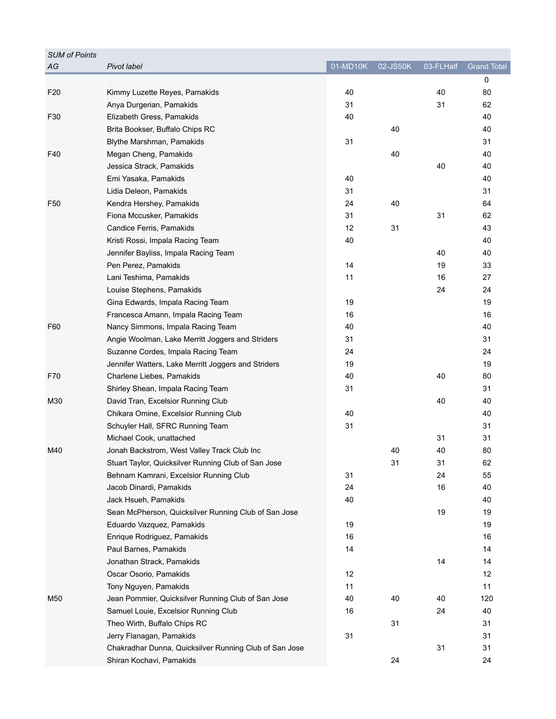| <b>SUM of Points</b> |                                                        |          |          |           |                    |
|----------------------|--------------------------------------------------------|----------|----------|-----------|--------------------|
| AG                   | Pivot label                                            | 01-MD10K | 02-JS50K | 03-FLHalf | <b>Grand Total</b> |
|                      |                                                        |          |          |           | 0                  |
| F <sub>20</sub>      | Kimmy Luzette Reyes, Pamakids                          | 40       |          | 40        | 80                 |
|                      | Anya Durgerian, Pamakids                               | 31       |          | 31        | 62                 |
| F30                  | Elizabeth Gress, Pamakids                              | 40       |          |           | 40                 |
|                      | Brita Bookser, Buffalo Chips RC                        |          | 40       |           | 40                 |
|                      | Blythe Marshman, Pamakids                              | 31       |          |           | 31                 |
| F40                  | Megan Cheng, Pamakids                                  |          | 40       |           | 40                 |
|                      | Jessica Strack, Pamakids                               |          |          | 40        | 40                 |
|                      | Emi Yasaka, Pamakids                                   | 40       |          |           | 40                 |
|                      | Lidia Deleon, Pamakids                                 | 31       |          |           | 31                 |
| F50                  | Kendra Hershey, Pamakids                               | 24       | 40       |           | 64                 |
|                      | Fiona Mccusker, Pamakids                               | 31       |          | 31        | 62                 |
|                      | Candice Ferris, Pamakids                               | 12       | 31       |           | 43                 |
|                      | Kristi Rossi, Impala Racing Team                       | 40       |          |           | 40                 |
|                      | Jennifer Bayliss, Impala Racing Team                   |          |          | 40        | 40                 |
|                      | Pen Perez, Pamakids                                    | 14       |          | 19        | 33                 |
|                      | Lani Teshima, Pamakids                                 | 11       |          | 16        | 27                 |
|                      | Louise Stephens, Pamakids                              |          |          | 24        | 24                 |
|                      | Gina Edwards, Impala Racing Team                       | 19       |          |           | 19                 |
|                      | Francesca Amann, Impala Racing Team                    | 16       |          |           | 16                 |
| F60                  | Nancy Simmons, Impala Racing Team                      | 40       |          |           | 40                 |
|                      | Angie Woolman, Lake Merritt Joggers and Striders       | 31       |          |           | 31                 |
|                      | Suzanne Cordes, Impala Racing Team                     | 24       |          |           | 24                 |
|                      | Jennifer Watters, Lake Merritt Joggers and Striders    | 19       |          |           | 19                 |
| F70                  | Charlene Liebes, Pamakids                              | 40       |          | 40        | 80                 |
|                      | Shirley Shean, Impala Racing Team                      | 31       |          |           | 31                 |
| M30                  | David Tran, Excelsior Running Club                     |          |          | 40        | 40                 |
|                      | Chikara Omine, Excelsior Running Club                  | 40       |          |           | 40                 |
|                      | Schuyler Hall, SFRC Running Team                       | 31       |          |           | 31                 |
|                      | Michael Cook, unattached                               |          |          | 31        | 31                 |
| M40                  | Jonah Backstrom, West Valley Track Club Inc            |          | 40       | 40        | 80                 |
|                      | Stuart Taylor, Quicksilver Running Club of San Jose    |          | 31       | 31        | 62                 |
|                      | Behnam Kamrani, Excelsior Running Club                 | 31       |          | 24        | 55                 |
|                      | Jacob Dinardi, Pamakids                                | 24       |          | 16        | 40                 |
|                      | Jack Hsueh, Pamakids                                   | 40       |          |           | 40                 |
|                      | Sean McPherson, Quicksilver Running Club of San Jose   |          |          | 19        | 19                 |
|                      | Eduardo Vazquez, Pamakids                              | 19       |          |           | 19                 |
|                      | Enrique Rodriguez, Pamakids                            | 16       |          |           | 16                 |
|                      | Paul Barnes, Pamakids                                  | 14       |          |           | 14                 |
|                      | Jonathan Strack, Pamakids                              |          |          | 14        | 14                 |
|                      | Oscar Osorio, Pamakids                                 | 12       |          |           | 12                 |
|                      | Tony Nguyen, Pamakids                                  | 11       |          |           | 11                 |
| M50                  | Jean Pommier, Quicksilver Running Club of San Jose     | 40       | 40       | 40        | 120                |
|                      | Samuel Louie, Excelsior Running Club                   | 16       |          | 24        | 40                 |
|                      | Theo Wirth, Buffalo Chips RC                           |          | 31       |           | 31                 |
|                      | Jerry Flanagan, Pamakids                               | 31       |          |           | 31                 |
|                      | Chakradhar Dunna, Quicksilver Running Club of San Jose |          |          | 31        | 31                 |
|                      | Shiran Kochavi, Pamakids                               |          | 24       |           | 24                 |
|                      |                                                        |          |          |           |                    |